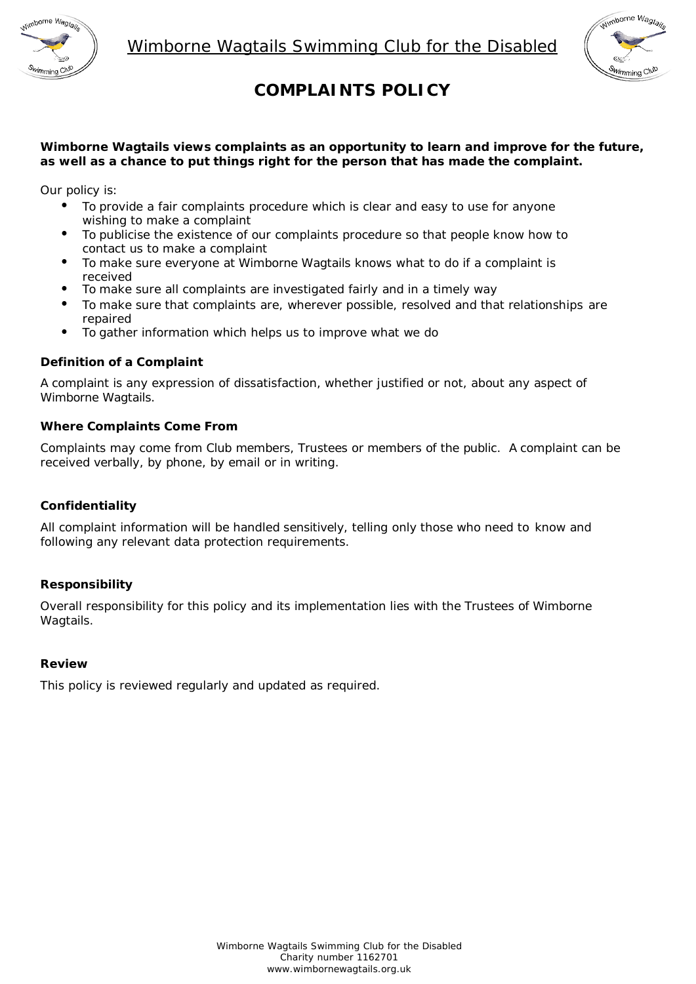



# **COMPLAINTS POLICY**

# **Wimborne Wagtails views complaints as an opportunity to learn and improve for the future, as well as a chance to put things right for the person that has made the complaint.**

Our policy is:

- To provide a fair complaints procedure which is clear and easy to use for anyone wishing to make a complaint
- To publicise the existence of our complaints procedure so that people know how to contact us to make a complaint
- To make sure everyone at Wimborne Wagtails knows what to do if a complaint is
- To make sure all complaints are investigated fairly and in a timely way
- To make sure that complaints are, wherever possible, resolved and that relationships are repaired
- To gather information which helps us to improve what we do

# **Definition of a Complaint**

A complaint is any expression of dissatisfaction, whether justified or not, about any aspect of Wimborne Wagtails.

# **Where Complaints Come From**

Complaints may come from Club members, Trustees or members of the public. A complaint can be received verbally, by phone, by email or in writing.

#### **Confidentiality**

All complaint information will be handled sensitively, telling only those who need to know and following any relevant data protection requirements.

# **Responsibility**

Overall responsibility for this policy and its implementation lies with the Trustees of Wimborne Wagtails.

#### **Review**

This policy is reviewed regularly and updated as required.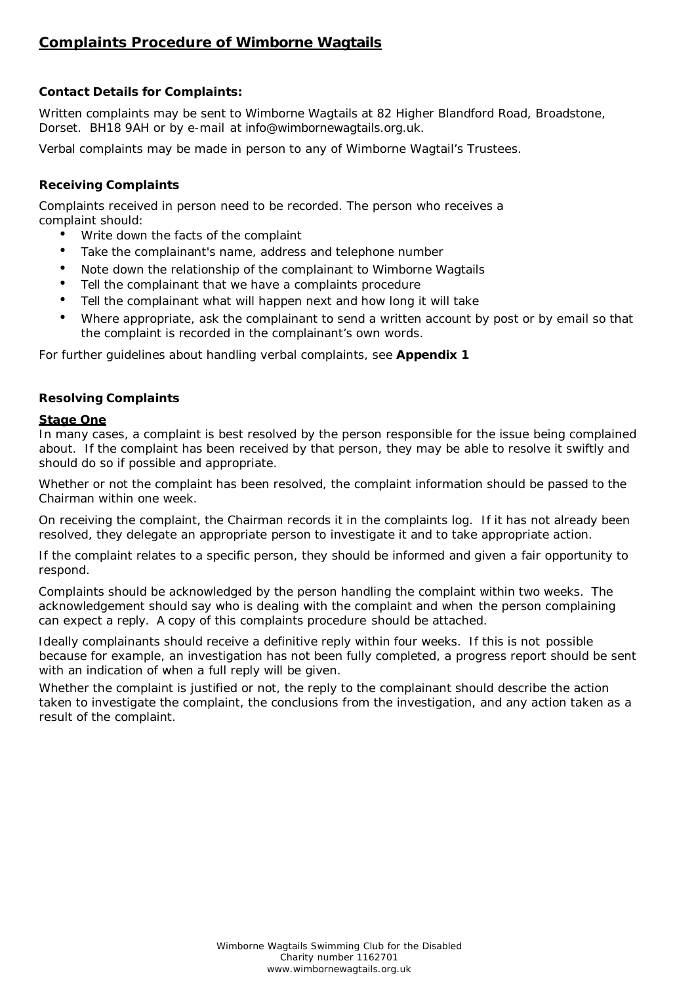# **Complaints Procedure of Wimborne Wagtails**

# **Contact Details for Complaints:**

Written complaints may be sent to Wimborne Wagtails at 82 Higher Blandford Road, Broadstone, Dorset. BH18 9AH or by e-mail at info@wimbornewagtails.org.uk.

Verbal complaints may be made in person to any of Wimborne Wagtail's Trustees.

# **Receiving Complaints**

Complaints received in person need to be recorded. The person who receives a complaint should:

- Write down the facts of the complaint
- Take the complainant's name, address and telephone number
- Note down the relationship of the complainant to Wimborne Wagtails
- Tell the complainant that we have a complaints procedure
- Tell the complainant what will happen next and how long it will take
- Where appropriate, ask the complainant to send a written account by post or by email so that the complaint is recorded in the complainant's own words.

For further guidelines about handling verbal complaints, see **Appendix 1**

# **Resolving Complaints**

#### **Stage One**

In many cases, a complaint is best resolved by the person responsible for the issue being complained about. If the complaint has been received by that person, they may be able to resolve it swiftly and should do so if possible and appropriate.

Whether or not the complaint has been resolved, the complaint information should be passed to the Chairman within one week.

On receiving the complaint, the Chairman records it in the complaints log. If it has not already been resolved, they delegate an appropriate person to investigate it and to take appropriate action.

If the complaint relates to a specific person, they should be informed and given a fair opportunity to respond.

Complaints should be acknowledged by the person handling the complaint within two weeks. The acknowledgement should say who is dealing with the complaint and when the person complaining can expect a reply. A copy of this complaints procedure should be attached.

Ideally complainants should receive a definitive reply within four weeks. If this is not possible because for example, an investigation has not been fully completed, a progress report should be sent with an indication of when a full reply will be given.

Whether the complaint is justified or not, the reply to the complainant should describe the action taken to investigate the complaint, the conclusions from the investigation, and any action taken as a result of the complaint.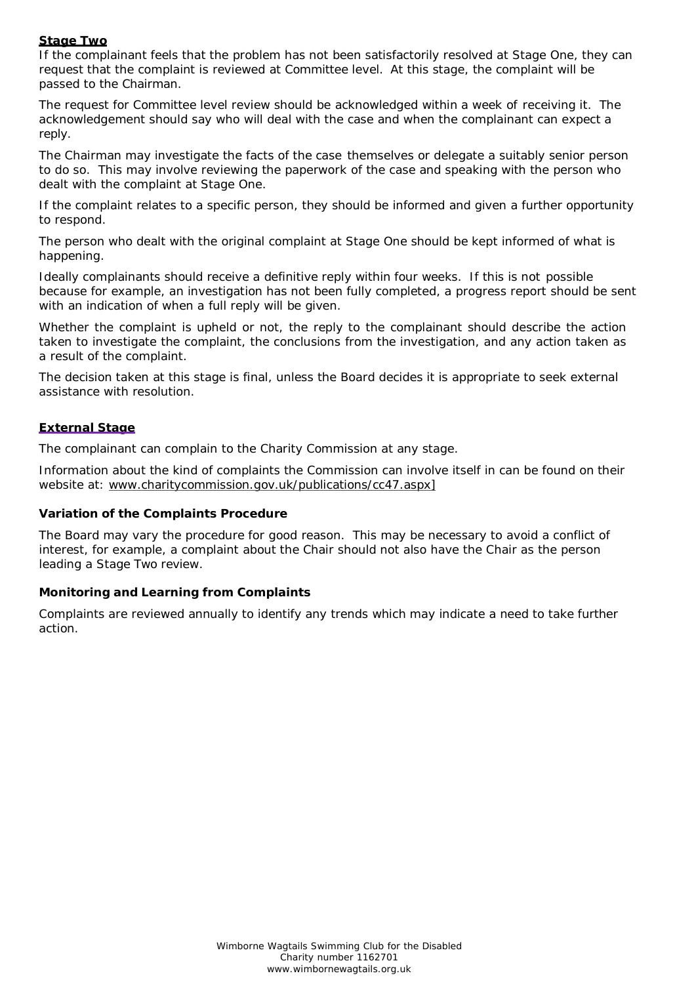# **Stage Two**

If the complainant feels that the problem has not been satisfactorily resolved at Stage One, they can request that the complaint is reviewed at Committee level. At this stage, the complaint will be passed to the Chairman.

The request for Committee level review should be acknowledged within a week of receiving it. The acknowledgement should say who will deal with the case and when the complainant can expect a reply.

The Chairman may investigate the facts of the case themselves or delegate a suitably senior person to do so. This may involve reviewing the paperwork of the case and speaking with the person who dealt with the complaint at Stage One.

If the complaint relates to a specific person, they should be informed and given a further opportunity to respond.

The person who dealt with the original complaint at Stage One should be kept informed of what is happening.

Ideally complainants should receive a definitive reply within four weeks. If this is not possible because for example, an investigation has not been fully completed, a progress report should be sent with an indication of when a full reply will be given.

Whether the complaint is upheld or not, the reply to the complainant should describe the action taken to investigate the complaint, the conclusions from the investigation, and any action taken as a result of the complaint.

The decision taken at this stage is final, unless the Board decides it is appropriate to seek external assistance with resolution.

# **External Stage**

The complainant can complain to the Charity Commission at any stage.

Information about the kind of complaints the Commission can involve itself in can be found on their website at: www.charitycommission.gov.uk/publications/cc47.aspx1

#### **Variation of the Complaints Procedure**

The Board may vary the procedure for good reason. This may be necessary to avoid a conflict of interest, for example, a complaint about the Chair should not also have the Chair as the person leading a Stage Two review.

#### **Monitoring and Learning from Complaints**

Complaints are reviewed annually to identify any trends which may indicate a need to take further action.